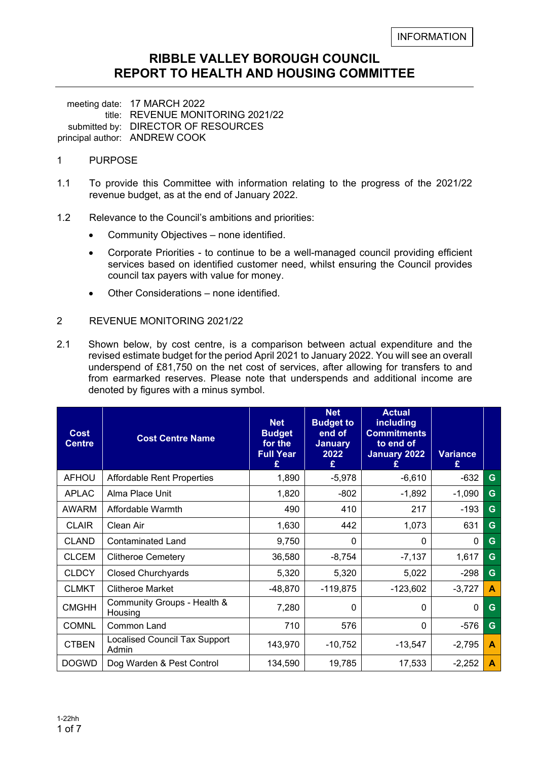#### **RIBBLE VALLEY BOROUGH COUNCIL REPORT TO HEALTH AND HOUSING COMMITTEE**

meeting date: 17 MARCH 2022 title: REVENUE MONITORING 2021/22 submitted by: DIRECTOR OF RESOURCES principal author: ANDREW COOK

- 1 PURPOSE
- 1.1 To provide this Committee with information relating to the progress of the 2021/22 revenue budget, as at the end of January 2022.
- 1.2 Relevance to the Council's ambitions and priorities:
	- Community Objectives none identified.
	- Corporate Priorities to continue to be a well-managed council providing efficient services based on identified customer need, whilst ensuring the Council provides council tax payers with value for money.
	- Other Considerations none identified.
- 2 REVENUE MONITORING 2021/22
- 2.1 Shown below, by cost centre, is a comparison between actual expenditure and the revised estimate budget for the period April 2021 to January 2022. You will see an overall underspend of £81,750 on the net cost of services, after allowing for transfers to and from earmarked reserves. Please note that underspends and additional income are denoted by figures with a minus symbol.

| <b>Cost</b><br><b>Centre</b> | <b>Cost Centre Name</b>                | <b>Net</b><br><b>Budget</b><br>for the<br><b>Full Year</b><br>£ | <b>Net</b><br><b>Budget to</b><br>end of<br><b>January</b><br>2022<br>£ | <b>Actual</b><br>including<br><b>Commitments</b><br>to end of<br>January 2022 | <b>Variance</b><br>£ |   |
|------------------------------|----------------------------------------|-----------------------------------------------------------------|-------------------------------------------------------------------------|-------------------------------------------------------------------------------|----------------------|---|
| <b>AFHOU</b>                 | <b>Affordable Rent Properties</b>      | 1,890                                                           | $-5,978$                                                                | $-6,610$                                                                      | $-632$               | G |
| <b>APLAC</b>                 | Alma Place Unit                        | 1,820                                                           | $-802$                                                                  | $-1,892$                                                                      | $-1,090$             | G |
| <b>AWARM</b>                 | Affordable Warmth                      | 490                                                             | 410                                                                     | 217                                                                           | $-193$               | G |
| <b>CLAIR</b>                 | Clean Air                              | 1,630                                                           | 442                                                                     | 1,073                                                                         | 631                  | G |
| <b>CLAND</b>                 | <b>Contaminated Land</b>               | 9,750                                                           | $\mathbf{0}$                                                            | $\Omega$                                                                      | $\mathbf{0}$         | G |
| <b>CLCEM</b>                 | <b>Clitheroe Cemetery</b>              | 36,580                                                          | $-8,754$                                                                | $-7,137$                                                                      | 1,617                | G |
| <b>CLDCY</b>                 | <b>Closed Churchyards</b>              | 5,320                                                           | 5,320                                                                   | 5,022                                                                         | $-298$               | G |
| <b>CLMKT</b>                 | <b>Clitheroe Market</b>                | $-48,870$                                                       | $-119,875$                                                              | $-123,602$                                                                    | $-3,727$             | A |
| <b>CMGHH</b>                 | Community Groups - Health &<br>Housing | 7,280                                                           | $\Omega$                                                                | $\Omega$                                                                      | $\Omega$             | G |
| <b>COMNL</b>                 | Common Land                            | 710                                                             | 576                                                                     | $\mathbf{0}$                                                                  | $-576$               | G |
| <b>CTBEN</b>                 | Localised Council Tax Support<br>Admin | 143,970                                                         | $-10,752$                                                               | $-13,547$                                                                     | $-2,795$             | A |
| <b>DOGWD</b>                 | Dog Warden & Pest Control              | 134,590                                                         | 19,785                                                                  | 17,533                                                                        | $-2,252$             | A |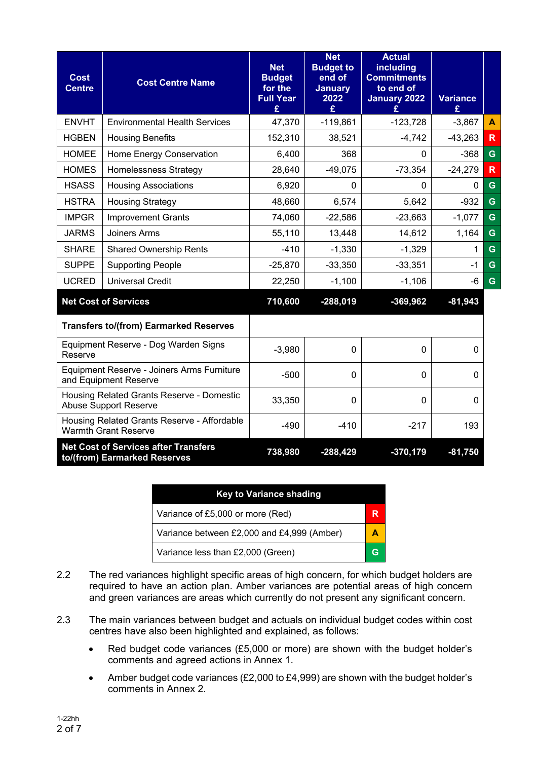| <b>Cost</b><br><b>Centre</b> | <b>Cost Centre Name</b>                                                     | <b>Net</b><br><b>Budget</b><br>for the<br><b>Full Year</b><br>£ | <b>Net</b><br><b>Budget to</b><br>end of<br><b>January</b><br>2022<br>£ | <b>Actual</b><br>including<br><b>Commitments</b><br>to end of<br><b>January 2022</b> | <b>Variance</b><br>£ |                         |
|------------------------------|-----------------------------------------------------------------------------|-----------------------------------------------------------------|-------------------------------------------------------------------------|--------------------------------------------------------------------------------------|----------------------|-------------------------|
| <b>ENVHT</b>                 | <b>Environmental Health Services</b>                                        | 47,370                                                          | $-119,861$                                                              | $-123,728$                                                                           | $-3,867$             | A                       |
| <b>HGBEN</b>                 | <b>Housing Benefits</b>                                                     | 152,310                                                         | 38,521                                                                  | $-4,742$                                                                             | $-43,263$            | R                       |
| <b>HOMEE</b>                 | Home Energy Conservation                                                    | 6,400                                                           | 368                                                                     | 0                                                                                    | $-368$               | G                       |
| <b>HOMES</b>                 | <b>Homelessness Strategy</b>                                                | 28,640                                                          | $-49,075$                                                               | $-73,354$                                                                            | $-24,279$            | $\overline{\mathsf{R}}$ |
| <b>HSASS</b>                 | <b>Housing Associations</b>                                                 | 6,920                                                           | $\Omega$                                                                | $\mathbf{0}$                                                                         | $\Omega$             | G                       |
| <b>HSTRA</b>                 | <b>Housing Strategy</b>                                                     | 48,660                                                          | 6,574                                                                   | 5,642                                                                                | $-932$               | G                       |
| <b>IMPGR</b>                 | <b>Improvement Grants</b>                                                   | 74,060                                                          | $-22,586$                                                               | $-23,663$                                                                            | $-1,077$             | G                       |
| <b>JARMS</b>                 | Joiners Arms                                                                | 55,110                                                          | 13,448                                                                  | 14,612                                                                               | 1,164                | G                       |
| <b>SHARE</b>                 | <b>Shared Ownership Rents</b>                                               | $-410$                                                          | $-1,330$                                                                | $-1,329$                                                                             | 1                    | G                       |
| <b>SUPPE</b>                 | <b>Supporting People</b>                                                    | $-25,870$                                                       | $-33,350$                                                               | $-33,351$                                                                            | $-1$                 | G                       |
| <b>UCRED</b>                 | <b>Universal Credit</b>                                                     | 22,250                                                          | $-1,100$                                                                | $-1,106$                                                                             | -6                   | G                       |
|                              | <b>Net Cost of Services</b>                                                 | 710,600                                                         | $-288,019$                                                              | $-369,962$                                                                           | $-81,943$            |                         |
|                              | <b>Transfers to/(from) Earmarked Reserves</b>                               |                                                                 |                                                                         |                                                                                      |                      |                         |
| Reserve                      | Equipment Reserve - Dog Warden Signs                                        | $-3,980$                                                        | $\mathbf 0$                                                             | 0                                                                                    | 0                    |                         |
|                              | Equipment Reserve - Joiners Arms Furniture<br>and Equipment Reserve         | $-500$                                                          | 0                                                                       | $\Omega$                                                                             | 0                    |                         |
|                              | Housing Related Grants Reserve - Domestic<br><b>Abuse Support Reserve</b>   | 33,350                                                          | 0                                                                       | $\mathbf{0}$                                                                         | 0                    |                         |
|                              | Housing Related Grants Reserve - Affordable<br><b>Warmth Grant Reserve</b>  | $-490$                                                          | $-410$                                                                  | $-217$                                                                               | 193                  |                         |
|                              | <b>Net Cost of Services after Transfers</b><br>to/(from) Earmarked Reserves | 738,980                                                         | $-288,429$                                                              | $-370,179$                                                                           | $-81,750$            |                         |

| <b>Key to Variance shading</b>             |  |  |  |  |  |  |  |
|--------------------------------------------|--|--|--|--|--|--|--|
| Variance of £5,000 or more (Red)           |  |  |  |  |  |  |  |
| Variance between £2,000 and £4,999 (Amber) |  |  |  |  |  |  |  |
| Variance less than £2,000 (Green)          |  |  |  |  |  |  |  |

- 2.2 The red variances highlight specific areas of high concern, for which budget holders are required to have an action plan. Amber variances are potential areas of high concern and green variances are areas which currently do not present any significant concern.
- 2.3 The main variances between budget and actuals on individual budget codes within cost centres have also been highlighted and explained, as follows:
	- Red budget code variances (£5,000 or more) are shown with the budget holder's comments and agreed actions in Annex 1.
	- Amber budget code variances (£2,000 to £4,999) are shown with the budget holder's comments in Annex 2.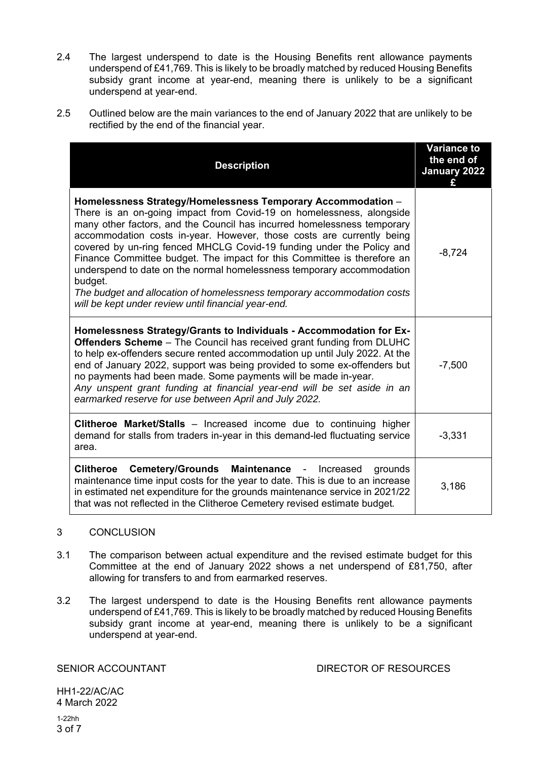- 2.4 The largest underspend to date is the Housing Benefits rent allowance payments underspend of £41,769. This is likely to be broadly matched by reduced Housing Benefits subsidy grant income at year-end, meaning there is unlikely to be a significant underspend at year-end.
- 2.5 Outlined below are the main variances to the end of January 2022 that are unlikely to be rectified by the end of the financial year.

| <b>Description</b>                                                                                                                                                                                                                                                                                                                                                                                                                                                                                                                                                                                                                                                 | <b>Variance to</b><br>the end of<br>January 2022 |
|--------------------------------------------------------------------------------------------------------------------------------------------------------------------------------------------------------------------------------------------------------------------------------------------------------------------------------------------------------------------------------------------------------------------------------------------------------------------------------------------------------------------------------------------------------------------------------------------------------------------------------------------------------------------|--------------------------------------------------|
| Homelessness Strategy/Homelessness Temporary Accommodation -<br>There is an on-going impact from Covid-19 on homelessness, alongside<br>many other factors, and the Council has incurred homelessness temporary<br>accommodation costs in-year. However, those costs are currently being<br>covered by un-ring fenced MHCLG Covid-19 funding under the Policy and<br>Finance Committee budget. The impact for this Committee is therefore an<br>underspend to date on the normal homelessness temporary accommodation<br>budget.<br>The budget and allocation of homelessness temporary accommodation costs<br>will be kept under review until financial year-end. | $-8,724$                                         |
| Homelessness Strategy/Grants to Individuals - Accommodation for Ex-<br>Offenders Scheme - The Council has received grant funding from DLUHC<br>to help ex-offenders secure rented accommodation up until July 2022. At the<br>end of January 2022, support was being provided to some ex-offenders but<br>no payments had been made. Some payments will be made in-year.<br>Any unspent grant funding at financial year-end will be set aside in an<br>earmarked reserve for use between April and July 2022.                                                                                                                                                      | $-7,500$                                         |
| <b>Clitheroe Market/Stalls</b> – Increased income due to continuing higher<br>demand for stalls from traders in-year in this demand-led fluctuating service<br>area.                                                                                                                                                                                                                                                                                                                                                                                                                                                                                               | $-3,331$                                         |
| Cemetery/Grounds Maintenance - Increased<br><b>Clitheroe</b><br>grounds<br>maintenance time input costs for the year to date. This is due to an increase<br>in estimated net expenditure for the grounds maintenance service in 2021/22<br>that was not reflected in the Clitheroe Cemetery revised estimate budget.                                                                                                                                                                                                                                                                                                                                               | 3,186                                            |

#### 3 CONCLUSION

- 3.1 The comparison between actual expenditure and the revised estimate budget for this Committee at the end of January 2022 shows a net underspend of £81,750, after allowing for transfers to and from earmarked reserves.
- 3.2 The largest underspend to date is the Housing Benefits rent allowance payments underspend of £41,769. This is likely to be broadly matched by reduced Housing Benefits subsidy grant income at year-end, meaning there is unlikely to be a significant underspend at year-end.

SENIOR ACCOUNTANT DIRECTOR OF RESOURCES

HH1-22/AC/AC 4 March 2022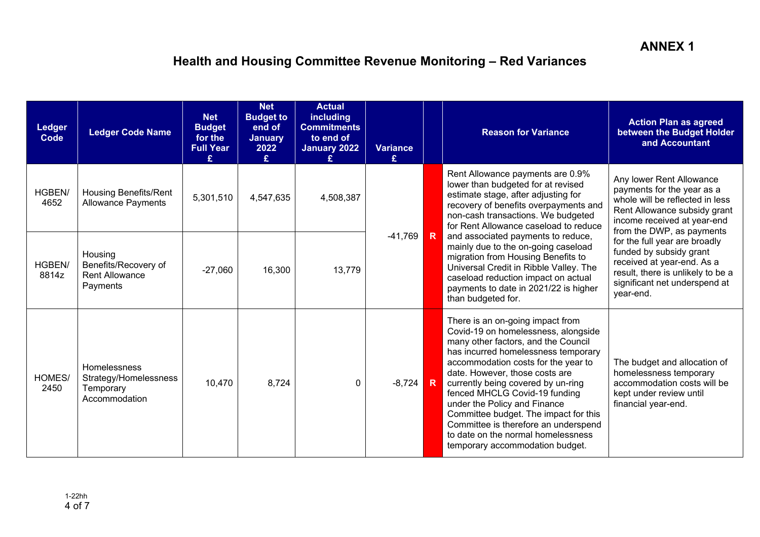# **Health and Housing Committee Revenue Monitoring – Red Variances**

| <b>Ledger</b><br><b>Code</b> | <b>Ledger Code Name</b>                                              | <b>Net</b><br><b>Budget</b><br>for the<br><b>Full Year</b><br>£ | <b>Net</b><br><b>Budget to</b><br>end of<br><b>January</b><br>2022<br>£ | <b>Actual</b><br>including<br><b>Commitments</b><br>to end of<br>January 2022 | <b>Variance</b><br>£. |                         | <b>Reason for Variance</b>                                                                                                                                                                                                                                                                                                                                                                                                                                                                      | <b>Action Plan as agreed</b><br>between the Budget Holder<br>and Accountant                                                                                                           |
|------------------------------|----------------------------------------------------------------------|-----------------------------------------------------------------|-------------------------------------------------------------------------|-------------------------------------------------------------------------------|-----------------------|-------------------------|-------------------------------------------------------------------------------------------------------------------------------------------------------------------------------------------------------------------------------------------------------------------------------------------------------------------------------------------------------------------------------------------------------------------------------------------------------------------------------------------------|---------------------------------------------------------------------------------------------------------------------------------------------------------------------------------------|
| <b>HGBEN/</b><br>4652        | <b>Housing Benefits/Rent</b><br><b>Allowance Payments</b>            | 5,301,510                                                       | 4,547,635                                                               | 4,508,387                                                                     |                       |                         | Rent Allowance payments are 0.9%<br>lower than budgeted for at revised<br>estimate stage, after adjusting for<br>recovery of benefits overpayments and<br>non-cash transactions. We budgeted<br>for Rent Allowance caseload to reduce                                                                                                                                                                                                                                                           | Any lower Rent Allowance<br>payments for the year as a<br>whole will be reflected in less<br>Rent Allowance subsidy grant<br>income received at year-end<br>from the DWP, as payments |
| HGBEN/<br>8814z              | Housing<br>Benefits/Recovery of<br><b>Rent Allowance</b><br>Payments | $-27,060$                                                       | 16,300                                                                  | 13,779                                                                        | $-41,769$             | $\overline{\mathsf{R}}$ | and associated payments to reduce,<br>mainly due to the on-going caseload<br>migration from Housing Benefits to<br>Universal Credit in Ribble Valley. The<br>caseload reduction impact on actual<br>payments to date in 2021/22 is higher<br>than budgeted for.                                                                                                                                                                                                                                 | for the full year are broadly<br>funded by subsidy grant<br>received at year-end. As a<br>result, there is unlikely to be a<br>significant net underspend at<br>year-end.             |
| HOMES/<br>2450               | Homelessness<br>Strategy/Homelessness<br>Temporary<br>Accommodation  | 10,470                                                          | 8,724                                                                   | $\mathbf{0}$                                                                  | $-8,724$              | $\overline{\mathbf{R}}$ | There is an on-going impact from<br>Covid-19 on homelessness, alongside<br>many other factors, and the Council<br>has incurred homelessness temporary<br>accommodation costs for the year to<br>date. However, those costs are<br>currently being covered by un-ring<br>fenced MHCLG Covid-19 funding<br>under the Policy and Finance<br>Committee budget. The impact for this<br>Committee is therefore an underspend<br>to date on the normal homelessness<br>temporary accommodation budget. | The budget and allocation of<br>homelessness temporary<br>accommodation costs will be<br>kept under review until<br>financial year-end.                                               |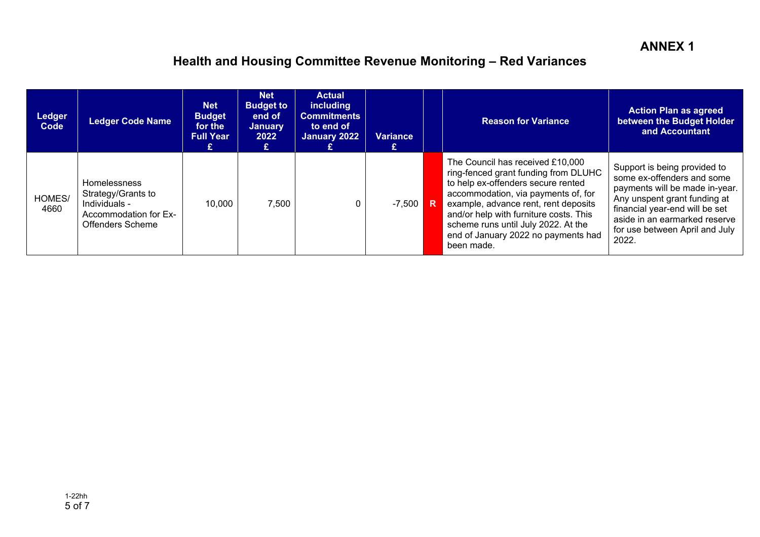# **Health and Housing Committee Revenue Monitoring – Red Variances**

| Ledger<br>Code | <b>Ledger Code Name</b>                                                                                 | <b>Net</b><br><b>Budget</b><br>for the<br><b>Full Year</b> | <b>Net</b><br><b>Budget to</b><br>end of<br><b>January</b><br>2022 | <b>Actual</b><br>including<br><b>Commitments</b><br>to end of<br>January 2022 | <b>Variance</b> | <b>Reason for Variance</b>                                                                                                                                                                                                                                                                                                          | <b>Action Plan as agreed</b><br>between the Budget Holder<br>and Accountant                                                                                                                                                                |
|----------------|---------------------------------------------------------------------------------------------------------|------------------------------------------------------------|--------------------------------------------------------------------|-------------------------------------------------------------------------------|-----------------|-------------------------------------------------------------------------------------------------------------------------------------------------------------------------------------------------------------------------------------------------------------------------------------------------------------------------------------|--------------------------------------------------------------------------------------------------------------------------------------------------------------------------------------------------------------------------------------------|
| HOMES/<br>4660 | <b>Homelessness</b><br>Strategy/Grants to<br>Individuals -<br>Accommodation for Ex-<br>Offenders Scheme | 10.000                                                     | 7,500                                                              |                                                                               | $-7,500$ R      | The Council has received £10,000<br>ring-fenced grant funding from DLUHC<br>to help ex-offenders secure rented<br>accommodation, via payments of, for<br>example, advance rent, rent deposits<br>and/or help with furniture costs. This<br>scheme runs until July 2022. At the<br>end of January 2022 no payments had<br>been made. | Support is being provided to<br>some ex-offenders and some<br>payments will be made in-year.<br>Any unspent grant funding at<br>financial year-end will be set<br>aside in an earmarked reserve<br>for use between April and July<br>2022. |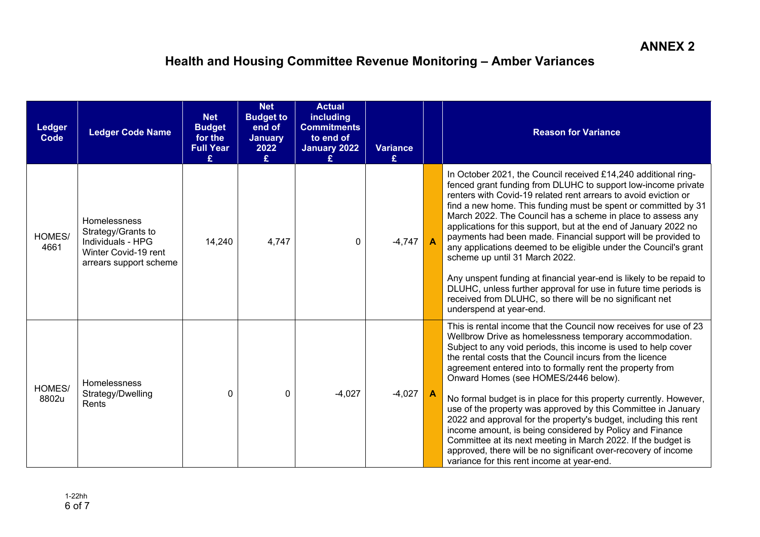# **Health and Housing Committee Revenue Monitoring – Amber Variances**

| <b>Ledger</b><br>Code | <b>Ledger Code Name</b>                                                                                   | <b>Net</b><br><b>Budget</b><br>for the<br><b>Full Year</b><br>£ | <b>Net</b><br><b>Budget to</b><br>end of<br><b>January</b><br>2022<br>£ | <b>Actual</b><br><b>including</b><br><b>Commitments</b><br>to end of<br>January 2022<br>£ | <b>Variance</b><br>£ |   | <b>Reason for Variance</b>                                                                                                                                                                                                                                                                                                                                                                                                                                                                                                                                                                                                                                                                                                                                                                                               |
|-----------------------|-----------------------------------------------------------------------------------------------------------|-----------------------------------------------------------------|-------------------------------------------------------------------------|-------------------------------------------------------------------------------------------|----------------------|---|--------------------------------------------------------------------------------------------------------------------------------------------------------------------------------------------------------------------------------------------------------------------------------------------------------------------------------------------------------------------------------------------------------------------------------------------------------------------------------------------------------------------------------------------------------------------------------------------------------------------------------------------------------------------------------------------------------------------------------------------------------------------------------------------------------------------------|
| HOMES/<br>4661        | Homelessness<br>Strategy/Grants to<br>Individuals - HPG<br>Winter Covid-19 rent<br>arrears support scheme | 14,240                                                          | 4,747                                                                   | 0                                                                                         | $-4,747$             |   | In October 2021, the Council received £14,240 additional ring-<br>fenced grant funding from DLUHC to support low-income private<br>renters with Covid-19 related rent arrears to avoid eviction or<br>find a new home. This funding must be spent or committed by 31<br>March 2022. The Council has a scheme in place to assess any<br>applications for this support, but at the end of January 2022 no<br>payments had been made. Financial support will be provided to<br>any applications deemed to be eligible under the Council's grant<br>scheme up until 31 March 2022.<br>Any unspent funding at financial year-end is likely to be repaid to<br>DLUHC, unless further approval for use in future time periods is<br>received from DLUHC, so there will be no significant net<br>underspend at year-end.         |
| HOMES/<br>8802u       | <b>Homelessness</b><br>Strategy/Dwelling<br>Rents                                                         | 0                                                               | $\Omega$                                                                | $-4,027$                                                                                  | $-4,027$             | A | This is rental income that the Council now receives for use of 23<br>Wellbrow Drive as homelessness temporary accommodation.<br>Subject to any void periods, this income is used to help cover<br>the rental costs that the Council incurs from the licence<br>agreement entered into to formally rent the property from<br>Onward Homes (see HOMES/2446 below).<br>No formal budget is in place for this property currently. However,<br>use of the property was approved by this Committee in January<br>2022 and approval for the property's budget, including this rent<br>income amount, is being considered by Policy and Finance<br>Committee at its next meeting in March 2022. If the budget is<br>approved, there will be no significant over-recovery of income<br>variance for this rent income at year-end. |